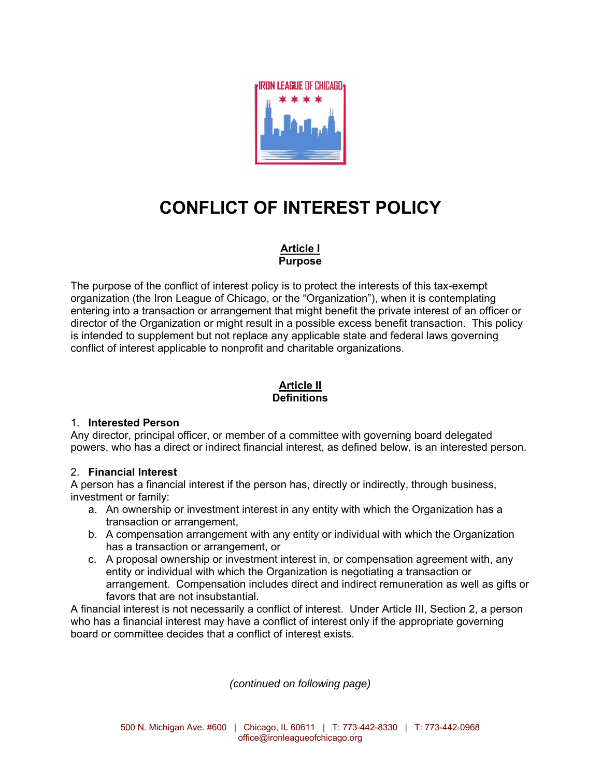

## **CONFLICT OF INTEREST POLICY**

## **Article I Purpose**

The purpose of the conflict of interest policy is to protect the interests of this tax-exempt organization (the Iron League of Chicago, or the "Organization"), when it is contemplating entering into a transaction or arrangement that might benefit the private interest of an officer or director of the Organization or might result in a possible excess benefit transaction. This policy is intended to supplement but not replace any applicable state and federal laws governing conflict of interest applicable to nonprofit and charitable organizations.

### **Article II Definitions**

### 1. **Interested Person**

Any director, principal officer, or member of a committee with governing board delegated powers, who has a direct or indirect financial interest, as defined below, is an interested person.

### 2. **Financial Interest**

A person has a financial interest if the person has, directly or indirectly, through business, investment or family:

- a. An ownership or investment interest in any entity with which the Organization has a transaction or arrangement,
- b. A compensation arrangement with any entity or individual with which the Organization has a transaction or arrangement, or
- c. A proposal ownership or investment interest in, or compensation agreement with, any entity or individual with which the Organization is negotiating a transaction or arrangement. Compensation includes direct and indirect remuneration as well as gifts or favors that are not insubstantial.

A financial interest is not necessarily a conflict of interest. Under Article III, Section 2, a person who has a financial interest may have a conflict of interest only if the appropriate governing board or committee decides that a conflict of interest exists.

*(continued on following page)*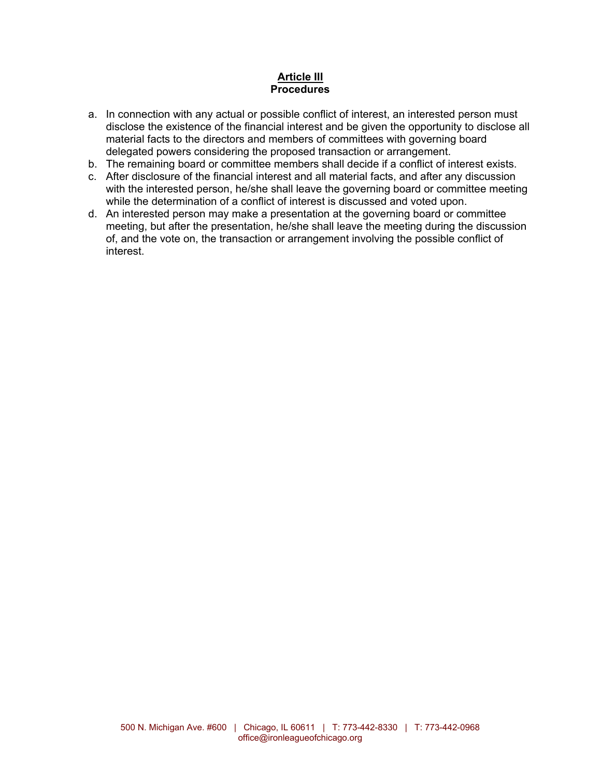### **Article III Procedures**

- a. In connection with any actual or possible conflict of interest, an interested person must disclose the existence of the financial interest and be given the opportunity to disclose all material facts to the directors and members of committees with governing board delegated powers considering the proposed transaction or arrangement.
- b. The remaining board or committee members shall decide if a conflict of interest exists.
- c. After disclosure of the financial interest and all material facts, and after any discussion with the interested person, he/she shall leave the governing board or committee meeting while the determination of a conflict of interest is discussed and voted upon.
- d. An interested person may make a presentation at the governing board or committee meeting, but after the presentation, he/she shall leave the meeting during the discussion of, and the vote on, the transaction or arrangement involving the possible conflict of interest.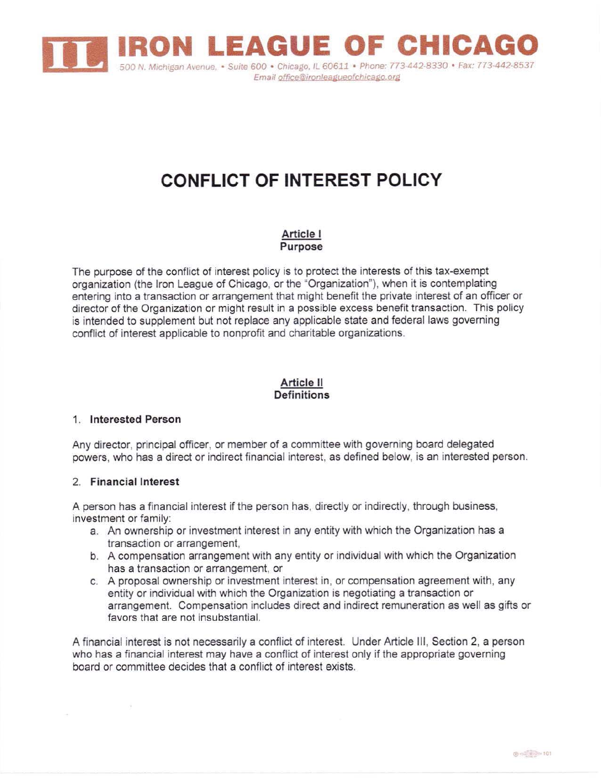

# **CONFLICT OF INTEREST POLICY**

Article I Purpose

The purpose of the conflict of interest policy is to protect the interests of this tax-exempt organization (the Iron League of Chicago, or the "Organization"), when it is contemplating entering into a transaction or arrangement that might benefit the private interest of an officer or director of the Organization or might result in a possible excess benefit transaction. This policy is intended to supplement but not replace any applicable state and federal laws governing conflict of interest applicable to nonprofit and charitable organizations.

### Article II **Definitions**

### 1. Interested Person

Any director, principal officer, or member of a committee with governing board delegated powers, who has a direct or indirect financial interest, as defined below, is an interested person.

### 2. Financial Interest

A person has a financial interest if the person has, directly or indirectly, through business, investment or family:

- a. An ownership or investment interest in any entity with which the Organization has a transaction or arrangement,
- b. A compensation arrangement with any entity or individual with which the Organization has a transaction or arrangement, or
- c. A proposal ownership or investment interest in, or compensation agreement with, any entity or individual with which the Organization is negotiating a transaction or arrangement. Compensation includes direct and indirect remuneration as well as gifts or favors that are not insubstantial.

A financial interest is not necessarily a conflict of interest. Under Article III, Section 2, a person who has a financial interest may have a conflict of interest only if the appropriate governing board or committee decides that a conflict of interest exists.